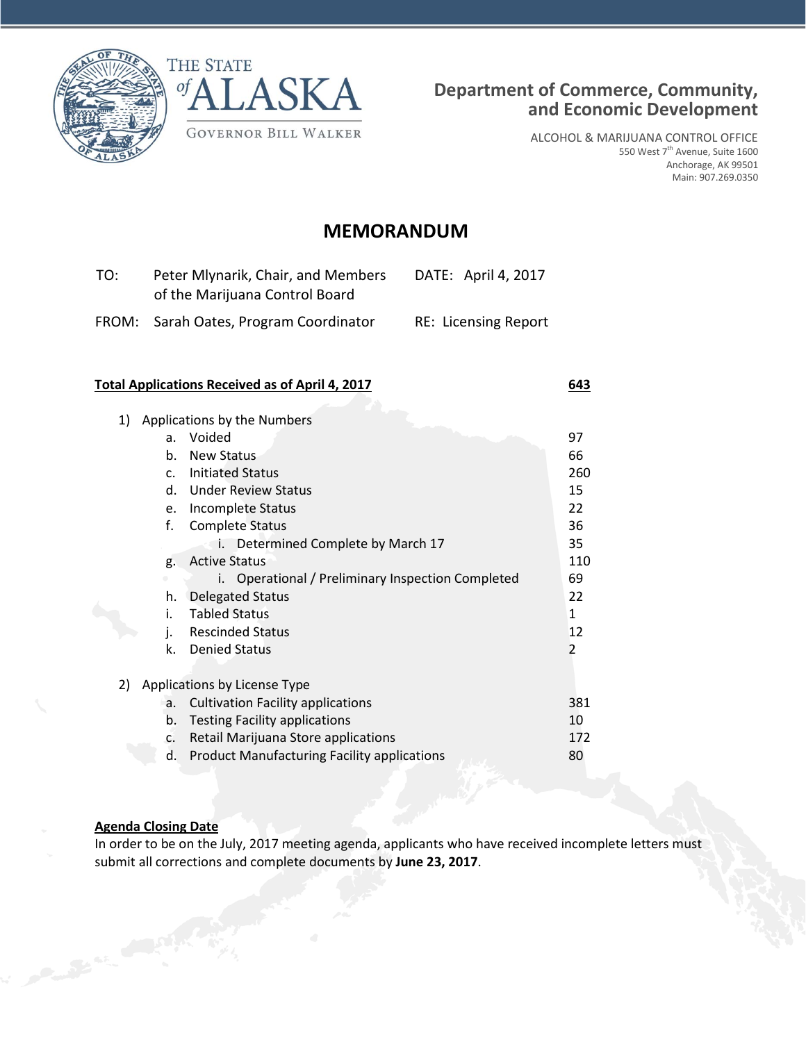



ALCOHOL & MARIJUANA CONTROL OFFICE 550 West 7<sup>th</sup> Avenue, Suite 1600 Anchorage, AK 99501 Main: 907.269.0350

# **MEMORANDUM**

| TO: | Peter Mlynarik, Chair, and Members<br>of the Marijuana Control Board | DATE: April 4, 2017         |
|-----|----------------------------------------------------------------------|-----------------------------|
|     | FROM: Sarah Oates, Program Coordinator                               | <b>RE: Licensing Report</b> |

# **Total Applications Received as of April 4, 2017 643**

| 1) |                | Applications by the Numbers                          |     |
|----|----------------|------------------------------------------------------|-----|
|    | a.             | Voided                                               | 97  |
|    | b.             | New Status                                           | 66  |
|    | C <sub>1</sub> | <b>Initiated Status</b>                              | 260 |
|    | d.             | <b>Under Review Status</b>                           | 15  |
|    | e.             | Incomplete Status                                    | 22  |
|    | f.             | <b>Complete Status</b>                               | 36  |
|    |                | Determined Complete by March 17<br>i.                | 35  |
|    | g.             | <b>Active Status</b>                                 | 110 |
|    |                | Operational / Preliminary Inspection Completed<br>İ. | 69  |
|    | h.             | <b>Delegated Status</b>                              | 22  |
|    | i.             | <b>Tabled Status</b>                                 | 1   |
|    | j.             | <b>Rescinded Status</b>                              | 12  |
|    | k.             | <b>Denied Status</b>                                 | 2   |
|    |                |                                                      |     |
| 2) |                | Applications by License Type                         |     |
|    | a.             | <b>Cultivation Facility applications</b>             | 381 |
|    | b.             | <b>Testing Facility applications</b>                 | 10  |
|    | C.             | Retail Marijuana Store applications                  | 172 |
|    | d.             | <b>Product Manufacturing Facility applications</b>   | 80  |
|    |                |                                                      |     |

# **Agenda Closing Date**

In order to be on the July, 2017 meeting agenda, applicants who have received incomplete letters must submit all corrections and complete documents by **June 23, 2017**.